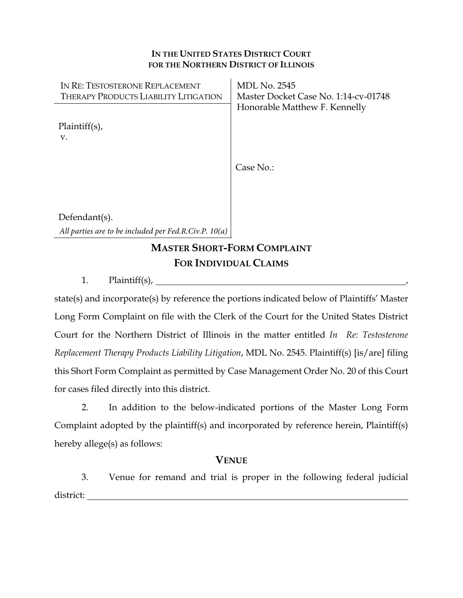#### **IN THE UNITED STATES DISTRICT COURT FOR THE NORTHERN DISTRICT OF ILLINOIS**

| IN RE: TESTOSTERONE REPLACEMENT              | <b>MDL No. 2545</b>                  |
|----------------------------------------------|--------------------------------------|
| <b>THERAPY PRODUCTS LIABILITY LITIGATION</b> | Master Docket Case No. 1:14-cv-01748 |
|                                              | Honorable Matthew F. Kennelly        |
| $Plaintiff(s)$ ,<br>V.                       |                                      |
|                                              | Case No.:                            |
|                                              |                                      |
|                                              |                                      |
|                                              |                                      |
| Defendant $(s)$ .                            |                                      |

*All parties are to be included per Fed.R.Civ.P. 10(a)*

# **MASTER SHORT-FORM COMPLAINT FOR INDIVIDUAL CLAIMS**

1. Plaintiff(s), ,

state(s) and incorporate(s) by reference the portions indicated below of Plaintiffs' Master Long Form Complaint on file with the Clerk of the Court for the United States District Court for the Northern District of Illinois in the matter entitled *In Re: Testosterone Replacement Therapy Products Liability Litigation*, MDL No. 2545. Plaintiff(s) [is/are] filing this Short Form Complaint as permitted by Case Management Order No. 20 of this Court for cases filed directly into this district.

2. In addition to the below-indicated portions of the Master Long Form Complaint adopted by the plaintiff(s) and incorporated by reference herein, Plaintiff(s) hereby allege(s) as follows:

### **VENUE**

3. Venue for remand and trial is proper in the following federal judicial district: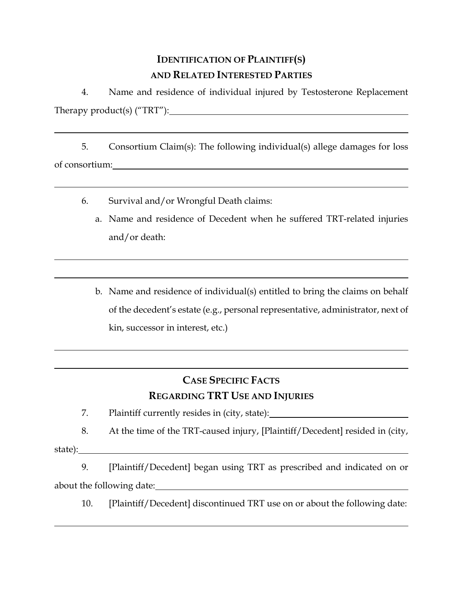## **IDENTIFICATION OF PLAINTIFF(S) AND RELATED INTERESTED PARTIES**

4. Name and residence of individual injured by Testosterone Replacement Therapy product(s) ("TRT"):

5. Consortium Claim(s): The following individual(s) allege damages for loss of consortium:

- 6. Survival and/or Wrongful Death claims:
	- a. Name and residence of Decedent when he suffered TRT-related injuries and/or death:
	- b. Name and residence of individual(s) entitled to bring the claims on behalf of the decedent's estate (e.g., personal representative, administrator, next of kin, successor in interest, etc.)

# **CASE SPECIFIC FACTS REGARDING TRT USE AND INJURIES**

- 7. Plaintiff currently resides in (city, state):
- 8. At the time of the TRT-caused injury, [Plaintiff/Decedent] resided in (city,

state):

9. [Plaintiff/Decedent] began using TRT as prescribed and indicated on or about the following date:

10. [Plaintiff/Decedent] discontinued TRT use on or about the following date: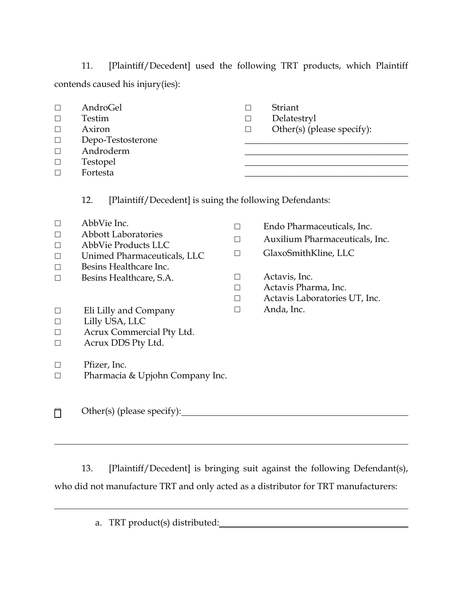11. [Plaintiff/Decedent] used the following TRT products, which Plaintiff contends caused his injury(ies):

| $\Box$  | AndroGel                                                       | $\Box$ | Striant                        |
|---------|----------------------------------------------------------------|--------|--------------------------------|
| □       | Testim                                                         | $\Box$ | Delatestryl                    |
| ⊔       | Axiron                                                         | $\Box$ | Other(s) (please specify):     |
| $\Box$  | Depo-Testosterone                                              |        |                                |
| $\Box$  | Androderm                                                      |        |                                |
| $\Box$  | Testopel                                                       |        |                                |
| $\Box$  | Fortesta                                                       |        |                                |
|         | 12.<br>[Plaintiff/Decedent] is suing the following Defendants: |        |                                |
| ⊔       | AbbVie Inc.                                                    | □      | Endo Pharmaceuticals, Inc.     |
| $\Box$  | <b>Abbott Laboratories</b>                                     | П      | Auxilium Pharmaceuticals, Inc. |
| □       | <b>AbbVie Products LLC</b>                                     |        |                                |
| $\Box$  | Unimed Pharmaceuticals, LLC                                    | П      | GlaxoSmithKline, LLC           |
| □       | Besins Healthcare Inc.                                         |        |                                |
| П       | Besins Healthcare, S.A.                                        | П      | Actavis, Inc.                  |
|         |                                                                | $\Box$ | Actavis Pharma, Inc.           |
|         |                                                                | $\Box$ | Actavis Laboratories UT, Inc.  |
| □       | Eli Lilly and Company                                          | $\Box$ | Anda, Inc.                     |
| ⊔       | Lilly USA, LLC                                                 |        |                                |
| ப       | Acrux Commercial Pty Ltd.                                      |        |                                |
| $\Box$  | Acrux DDS Pty Ltd.                                             |        |                                |
| $\perp$ | Pfizer, Inc.                                                   |        |                                |
| $\Box$  | Pharmacia & Upjohn Company Inc.                                |        |                                |
|         | Other(s) (please specify):                                     |        |                                |

13. [Plaintiff/Decedent] is bringing suit against the following Defendant(s), who did not manufacture TRT and only acted as a distributor for TRT manufacturers:

a. TRT product(s) distributed: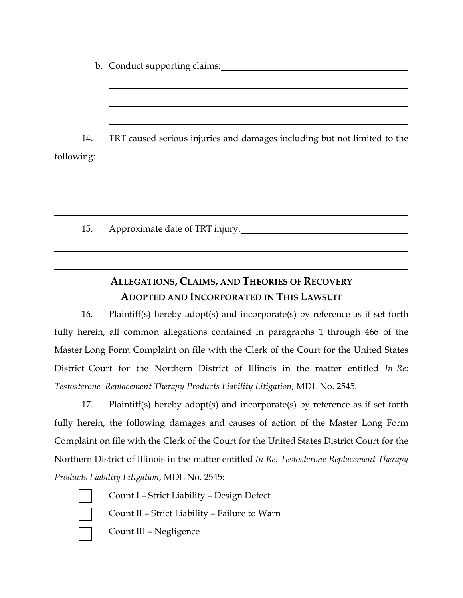b. Conduct supporting claims:

14. TRT caused serious injuries and damages including but not limited to the following:

15. Approximate date of TRT injury:

## **ALLEGATIONS, CLAIMS, AND THEORIES OF RECOVERY ADOPTED AND INCORPORATED IN THIS LAWSUIT**

16. Plaintiff(s) hereby adopt(s) and incorporate(s) by reference as if set forth fully herein, all common allegations contained in paragraphs 1 through 466 of the Master Long Form Complaint on file with the Clerk of the Court for the United States District Court for the Northern District of Illinois in the matter entitled *In Re: Testosterone Replacement Therapy Products Liability Litigation*, MDL No. 2545.

17. Plaintiff(s) hereby adopt(s) and incorporate(s) by reference as if set forth fully herein, the following damages and causes of action of the Master Long Form Complaint on file with the Clerk of the Court for the United States District Court for the Northern District of Illinois in the matter entitled *In Re: Testosterone Replacement Therapy Products Liability Litigation*, MDL No. 2545:

☐ Count II – Strict Liability – Failure to Warn ☐ Count III – Negligence

☐ Count I – Strict Liability – Design Defect